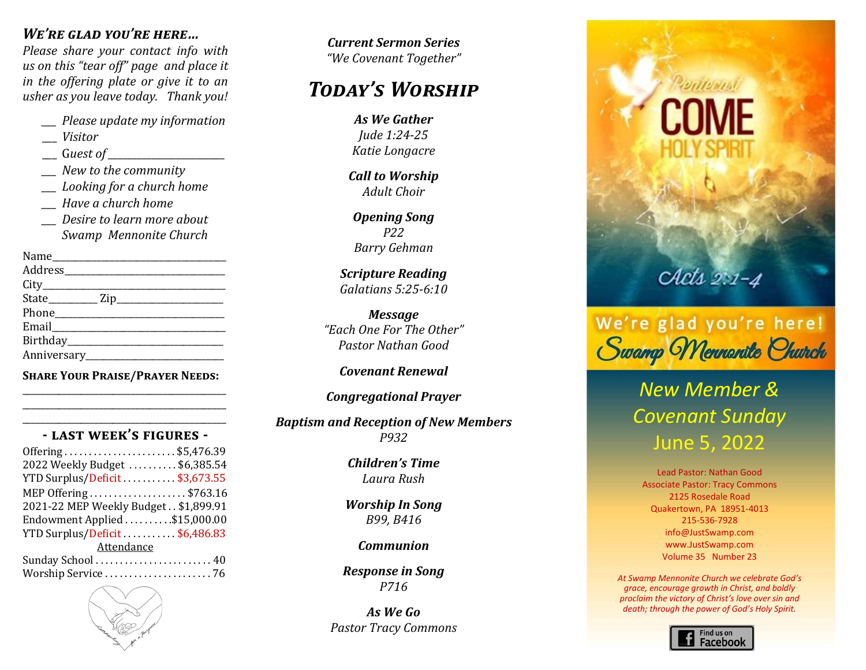### *We're glad you're here…*

*Please share your contact info with us on this "tear off" page and place it in the offering plate or give it to an usher as you leave today. Thank you!*

*\_\_\_ Please update my information* 

- \_\_\_ *Visitor*
- \_\_\_ G*uest of \_\_\_\_\_\_\_\_\_\_\_\_\_\_\_\_\_\_\_\_\_\_\_\_*
- *\_\_\_ New to the community*
- *\_\_\_ Looking for a church home*
- *\_\_\_ Have a church home*
- *\_\_\_ Desire to learn more about Swamp Mennonite Church*

Name\_\_\_\_\_\_\_\_\_\_\_\_\_\_\_\_\_\_\_\_\_\_\_\_\_\_\_\_\_\_\_\_\_\_\_\_\_\_\_ Address\_\_\_\_\_\_\_\_\_\_\_\_\_\_\_\_\_\_\_\_\_\_\_\_\_\_\_\_\_\_\_\_\_\_\_\_ City  $State$   $\qquad \qquad$   $\qquad$   $\qquad$   $\qquad$   $\qquad$   $\qquad$   $\qquad$   $\qquad$   $\qquad$   $\qquad$   $\qquad$   $\qquad$   $\qquad$   $\qquad$   $\qquad$   $\qquad$   $\qquad$   $\qquad$   $\qquad$   $\qquad$   $\qquad$   $\qquad$   $\qquad$   $\qquad$   $\qquad$   $\qquad$   $\qquad$   $\qquad$   $\qquad$   $\qquad$   $\qquad$   $\qquad$   $\qquad$   $\qquad$   $\qquad$   $\qquad$ Phone Email Birthday Anniversary\_\_\_\_\_\_\_\_\_\_\_\_\_\_\_\_\_\_\_\_\_\_\_\_\_\_\_\_\_\_\_

**Share Your Praise/Prayer Needs:** \_\_\_\_\_\_\_\_\_\_\_\_\_\_\_\_\_\_\_\_\_\_\_\_\_\_\_\_\_\_\_\_\_\_\_\_\_\_\_\_\_\_\_\_\_

\_\_\_\_\_\_\_\_\_\_\_\_\_\_\_\_\_\_\_\_\_\_\_\_\_\_\_\_\_\_\_\_\_\_\_\_\_\_\_\_\_\_\_\_\_

#### \_\_\_\_\_\_\_\_\_\_\_\_\_\_\_\_\_\_\_\_\_\_\_\_\_\_\_\_\_\_\_\_\_\_\_\_\_\_\_\_\_\_\_\_\_ **- last week's figures -**

| Offering\$5,476.39                     |
|----------------------------------------|
| 2022 Weekly Budget \$6,385.54          |
| YTD Surplus/Deficit\$3,673.55          |
| MEP Offering \$763.16                  |
| 2021-22 MEP Weekly Budget . \$1,899.91 |
| Endowment Applied \$15,000.00          |
| YTD Surplus/Deficit\$6,486.83          |
| Attendance                             |
| Sunday School  40                      |
|                                        |



*Today's Worship Current Sermon Series "Growing Together in Christ" "We Covenant Together"*

# *Today's Worship Today's Worship Today's Worship Celebrating Our Life Together Today's Worship*

*Call to Worship Welcome & Focusing As We Gather Praise Team Isaiah 55:6-9, 56:1-2 Welcome & Focusing Worship Focusing Jude 1:24-25 Welcome & Focusing Lowell Gehman & Isaiah 55:6-9, 56:1-2 Psalm 88 Katie Longacre "Growing Together in Christ"*

*Acts 2:14, 22-33 Will Sadler Lowell Gehman & Worship in Song Worship in Song SB54, B521 Adult Choir Will Sadler Call to Worship* 

*Congregational Prayer Marlin Clemmer Praise Team Worship in Song Celebrating Our Life Together Praise Team Children's Time Offertory Barry Gehman Scripture Reading Jonah 4:5-9, 2 Corinthians 4:7-12 Opening Song P22*

*Celebrating Our Life Together Congregational Prayer Steve & Cindy Weaver "Before the Throne of God Above Children's Time Offertory Celebrating Our Life Together Arr. by Joshua Evanozich Galatians 5:25-6:10 w/ In Christ Alone" Scripture Reading*

*Laura Rush Carol Longacre Leah Rush and Carol Longacre Message h* One For The Oi *Johanna Ziegler Offertory 1 Kings 18-19 Pastor Nathan Good Prayer Prayer Childrens Time "Each One For The Other"*

#### *Scripture Reading Worship in Song Barry Gehman Carol Longacre Arlene Yothers Covenant Renewal*

#### *2 Timothy 2:8-13 Scripture Reading Worship in Song r* cyanonar *r Worship in Song Congregational Prayer*

*Message*  $\bm{s}$ m ana Reception of New Mer *Raised the Messiah from the Dead " Matthew 24:26-44; Romans 13:11-44 Congregational Prayer Baptism and Reception of New Members Message Scripture Reading P932 Scripture Reading*

*Pastor Verle A. Brubaker "The Mystery of God in Our Present" Matthew 26:36-46 Children's Time Response in Song Pastor Verle A. Brubaker Message Message Laura Rush*

*Worship In Song Benediction B99, B416 Benediction Pastor Nathan Good Worship In Song*

#### *LOMMUNION Response in Song SB10, R606 Communion*

*studying the Word and obeying the Spirit" the Mystery of God among us" This Advent we are "Engaging Response in Song P716*

> $\iota$ <sup>2</sup> *the M<sub>i</sub>*  $\iota$ <sup>2</sup> *"Building a Stronger Christ-Centered Community in 2015." As We Go Pastor Tracy Commons*





# *New Member & Covenant Sunday* June 5, 2022

Lead Pastor: Nathan Good Associate Pastor: Tracy Commons 2125 Rosedale Road Quakertown, PA 18951-4013 215-536-7928 info@JustSwamp.com www.JustSwamp.com Volume 35 Number 23

*At Swamp Mennonite Church we celebrate God's grace, encourage growth in Christ, and boldly proclaim the victory of Christ's love over sin and death; through the power of God's Holy Spirit.*